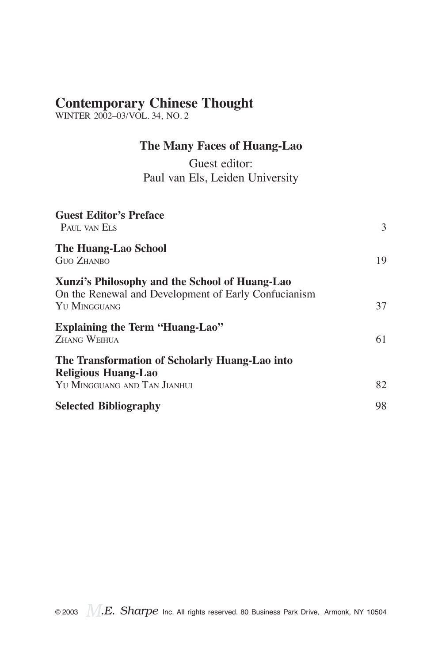## **Contemporary Chinese Thought**

WINTER 2002–03/VOL. 34, NO. 2

### **The Many Faces of Huang-Lao**

Guest editor: Paul van Els, Leiden University

| <b>Guest Editor's Preface</b>                                                                          |    |
|--------------------------------------------------------------------------------------------------------|----|
| PAUL VAN ELS                                                                                           | 3  |
| The Huang-Lao School                                                                                   |    |
| <b>GUO ZHANBO</b>                                                                                      | 19 |
| Xunzi's Philosophy and the School of Huang-Lao<br>On the Renewal and Development of Early Confucianism |    |
| YU MINGGUANG                                                                                           | 37 |
| <b>Explaining the Term "Huang-Lao"</b>                                                                 |    |
| <b>ZHANG WEIHUA</b>                                                                                    | 61 |
| The Transformation of Scholarly Huang-Lao into<br><b>Religious Huang-Lao</b>                           |    |
| YU MINGGUANG AND TAN JIANHUI                                                                           | 82 |
| <b>Selected Bibliography</b>                                                                           | 98 |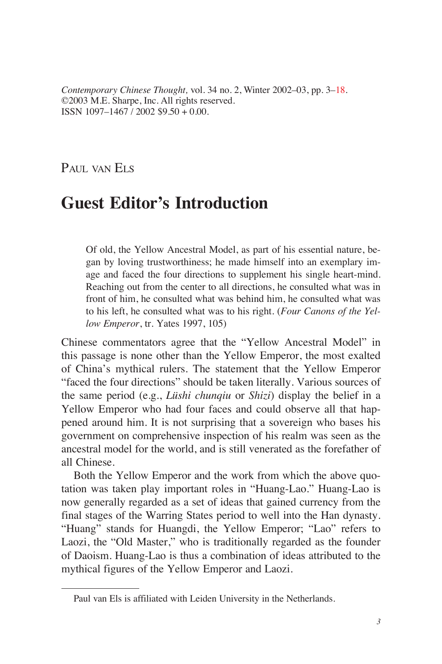*Contemporary Chinese Thought,* vol. 34 no. 2, Winter 2002–03, pp. 3–18. ©2003 M.E. Sharpe, Inc. All rights reserved. ISSN 1097-1467  $\sqrt{2002}$  \$9.50 + 0.00.

PAUL VAN ELS

# **Guest Editor's Introduction**

Of old, the Yellow Ancestral Model, as part of his essential nature, began by loving trustworthiness; he made himself into an exemplary image and faced the four directions to supplement his single heart-mind. Reaching out from the center to all directions, he consulted what was in front of him, he consulted what was behind him, he consulted what was to his left, he consulted what was to his right. (*Four Canons of the Yellow Emperor*, tr. Yates 1997, 105)

Chinese commentators agree that the "Yellow Ancestral Model" in this passage is none other than the Yellow Emperor, the most exalted of China's mythical rulers. The statement that the Yellow Emperor "faced the four directions" should be taken literally. Various sources of the same period (e.g., *Lüshi chunqiu* or *Shizi*) display the belief in a Yellow Emperor who had four faces and could observe all that happened around him. It is not surprising that a sovereign who bases his government on comprehensive inspection of his realm was seen as the ancestral model for the world, and is still venerated as the forefather of all Chinese.

Both the Yellow Emperor and the work from which the above quotation was taken play important roles in "Huang-Lao." Huang-Lao is now generally regarded as a set of ideas that gained currency from the final stages of the Warring States period to well into the Han dynasty. "Huang" stands for Huangdi, the Yellow Emperor; "Lao" refers to Laozi, the "Old Master," who is traditionally regarded as the founder of Daoism. Huang-Lao is thus a combination of ideas attributed to the mythical figures of the Yellow Emperor and Laozi.

Paul van Els is affiliated with Leiden University in the Netherlands.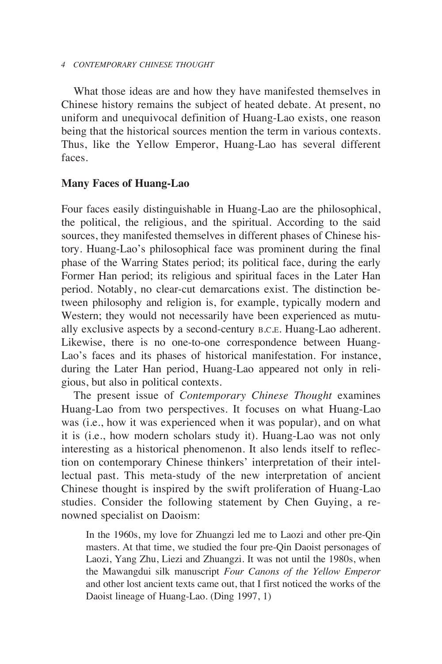#### *4 CONTEMPORARY CHINESE THOUGHT*

What those ideas are and how they have manifested themselves in Chinese history remains the subject of heated debate. At present, no uniform and unequivocal definition of Huang-Lao exists, one reason being that the historical sources mention the term in various contexts. Thus, like the Yellow Emperor, Huang-Lao has several different faces.

#### **Many Faces of Huang-Lao**

Four faces easily distinguishable in Huang-Lao are the philosophical, the political, the religious, and the spiritual. According to the said sources, they manifested themselves in different phases of Chinese history. Huang-Lao's philosophical face was prominent during the final phase of the Warring States period; its political face, during the early Former Han period; its religious and spiritual faces in the Later Han period. Notably, no clear-cut demarcations exist. The distinction between philosophy and religion is, for example, typically modern and Western; they would not necessarily have been experienced as mutually exclusive aspects by a second-century B.C.E. Huang-Lao adherent. Likewise, there is no one-to-one correspondence between Huang-Lao's faces and its phases of historical manifestation. For instance, during the Later Han period, Huang-Lao appeared not only in religious, but also in political contexts.

The present issue of *Contemporary Chinese Thought* examines Huang-Lao from two perspectives. It focuses on what Huang-Lao was (i.e., how it was experienced when it was popular), and on what it is (i.e., how modern scholars study it). Huang-Lao was not only interesting as a historical phenomenon. It also lends itself to reflection on contemporary Chinese thinkers' interpretation of their intellectual past. This meta-study of the new interpretation of ancient Chinese thought is inspired by the swift proliferation of Huang-Lao studies. Consider the following statement by Chen Guying, a renowned specialist on Daoism:

In the 1960s, my love for Zhuangzi led me to Laozi and other pre-Qin masters. At that time, we studied the four pre-Qin Daoist personages of Laozi, Yang Zhu, Liezi and Zhuangzi. It was not until the 1980s, when the Mawangdui silk manuscript *Four Canons of the Yellow Emperor* and other lost ancient texts came out, that I first noticed the works of the Daoist lineage of Huang-Lao. (Ding 1997, 1)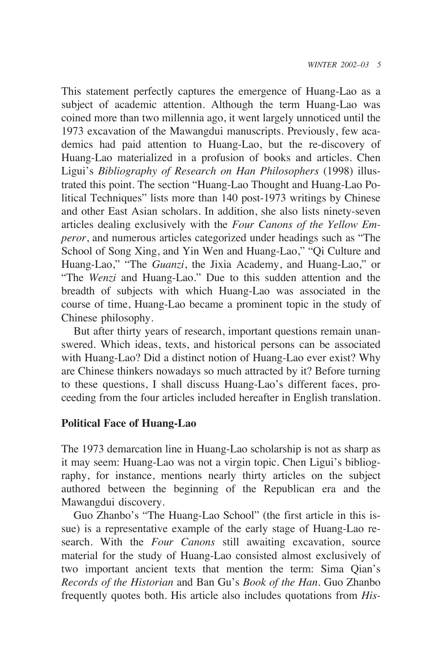This statement perfectly captures the emergence of Huang-Lao as a subject of academic attention. Although the term Huang-Lao was coined more than two millennia ago, it went largely unnoticed until the 1973 excavation of the Mawangdui manuscripts. Previously, few academics had paid attention to Huang-Lao, but the re-discovery of Huang-Lao materialized in a profusion of books and articles. Chen Ligui's *Bibliography of Research on Han Philosophers* (1998) illustrated this point. The section "Huang-Lao Thought and Huang-Lao Political Techniques" lists more than 140 post-1973 writings by Chinese and other East Asian scholars. In addition, she also lists ninety-seven articles dealing exclusively with the *Four Canons of the Yellow Emperor*, and numerous articles categorized under headings such as "The School of Song Xing, and Yin Wen and Huang-Lao," "Qi Culture and Huang-Lao," "The *Guanzi*, the Jixia Academy, and Huang-Lao," or "The *Wenzi* and Huang-Lao." Due to this sudden attention and the breadth of subjects with which Huang-Lao was associated in the course of time, Huang-Lao became a prominent topic in the study of Chinese philosophy.

But after thirty years of research, important questions remain unanswered. Which ideas, texts, and historical persons can be associated with Huang-Lao? Did a distinct notion of Huang-Lao ever exist? Why are Chinese thinkers nowadays so much attracted by it? Before turning to these questions, I shall discuss Huang-Lao's different faces, proceeding from the four articles included hereafter in English translation.

#### **Political Face of Huang-Lao**

The 1973 demarcation line in Huang-Lao scholarship is not as sharp as it may seem: Huang-Lao was not a virgin topic. Chen Ligui's bibliography, for instance, mentions nearly thirty articles on the subject authored between the beginning of the Republican era and the Mawangdui discovery.

Guo Zhanbo's "The Huang-Lao School" (the first article in this issue) is a representative example of the early stage of Huang-Lao research. With the *Four Canons* still awaiting excavation, source material for the study of Huang-Lao consisted almost exclusively of two important ancient texts that mention the term: Sima Qian's *Records of the Historian* and Ban Gu's *Book of the Han*. Guo Zhanbo frequently quotes both. His article also includes quotations from *His-*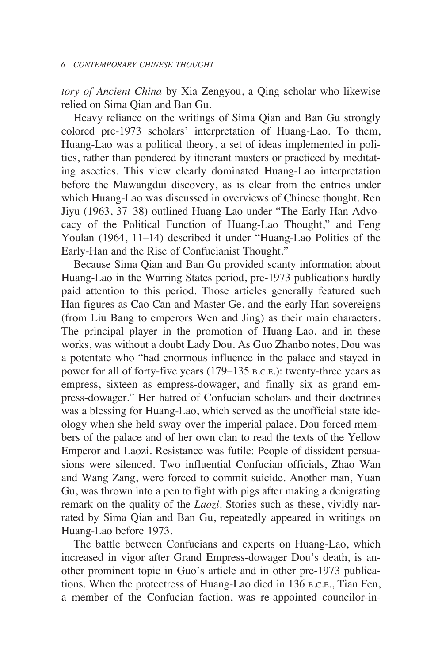*tory of Ancient China* by Xia Zengyou, a Qing scholar who likewise relied on Sima Qian and Ban Gu.

Heavy reliance on the writings of Sima Qian and Ban Gu strongly colored pre-1973 scholars' interpretation of Huang-Lao. To them, Huang-Lao was a political theory, a set of ideas implemented in politics, rather than pondered by itinerant masters or practiced by meditating ascetics. This view clearly dominated Huang-Lao interpretation before the Mawangdui discovery, as is clear from the entries under which Huang-Lao was discussed in overviews of Chinese thought. Ren Jiyu (1963, 37–38) outlined Huang-Lao under "The Early Han Advocacy of the Political Function of Huang-Lao Thought," and Feng Youlan (1964, 11–14) described it under "Huang-Lao Politics of the Early-Han and the Rise of Confucianist Thought."

Because Sima Qian and Ban Gu provided scanty information about Huang-Lao in the Warring States period, pre-1973 publications hardly paid attention to this period. Those articles generally featured such Han figures as Cao Can and Master Ge, and the early Han sovereigns (from Liu Bang to emperors Wen and Jing) as their main characters. The principal player in the promotion of Huang-Lao, and in these works, was without a doubt Lady Dou. As Guo Zhanbo notes, Dou was a potentate who "had enormous influence in the palace and stayed in power for all of forty-five years (179–135 B.C.E.): twenty-three years as empress, sixteen as empress-dowager, and finally six as grand empress-dowager." Her hatred of Confucian scholars and their doctrines was a blessing for Huang-Lao, which served as the unofficial state ideology when she held sway over the imperial palace. Dou forced members of the palace and of her own clan to read the texts of the Yellow Emperor and Laozi. Resistance was futile: People of dissident persuasions were silenced. Two influential Confucian officials, Zhao Wan and Wang Zang, were forced to commit suicide. Another man, Yuan Gu, was thrown into a pen to fight with pigs after making a denigrating remark on the quality of the *Laozi*. Stories such as these, vividly narrated by Sima Qian and Ban Gu, repeatedly appeared in writings on Huang-Lao before 1973.

The battle between Confucians and experts on Huang-Lao, which increased in vigor after Grand Empress-dowager Dou's death, is another prominent topic in Guo's article and in other pre-1973 publications. When the protectress of Huang-Lao died in 136 B.C.E., Tian Fen, a member of the Confucian faction, was re-appointed councilor-in-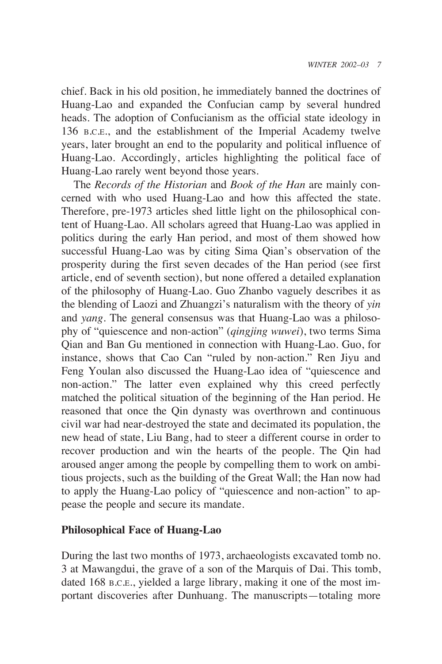chief. Back in his old position, he immediately banned the doctrines of Huang-Lao and expanded the Confucian camp by several hundred heads. The adoption of Confucianism as the official state ideology in 136 B.C.E., and the establishment of the Imperial Academy twelve years, later brought an end to the popularity and political influence of Huang-Lao. Accordingly, articles highlighting the political face of Huang-Lao rarely went beyond those years.

The *Records of the Historian* and *Book of the Han* are mainly concerned with who used Huang-Lao and how this affected the state. Therefore, pre-1973 articles shed little light on the philosophical content of Huang-Lao. All scholars agreed that Huang-Lao was applied in politics during the early Han period, and most of them showed how successful Huang-Lao was by citing Sima Qian's observation of the prosperity during the first seven decades of the Han period (see first article, end of seventh section), but none offered a detailed explanation of the philosophy of Huang-Lao. Guo Zhanbo vaguely describes it as the blending of Laozi and Zhuangzi's naturalism with the theory of *yin* and *yang*. The general consensus was that Huang-Lao was a philosophy of "quiescence and non-action" (*qingjing wuwei*), two terms Sima Qian and Ban Gu mentioned in connection with Huang-Lao. Guo, for instance, shows that Cao Can "ruled by non-action." Ren Jiyu and Feng Youlan also discussed the Huang-Lao idea of "quiescence and non-action." The latter even explained why this creed perfectly matched the political situation of the beginning of the Han period. He reasoned that once the Qin dynasty was overthrown and continuous civil war had near-destroyed the state and decimated its population, the new head of state, Liu Bang, had to steer a different course in order to recover production and win the hearts of the people. The Qin had aroused anger among the people by compelling them to work on ambitious projects, such as the building of the Great Wall; the Han now had to apply the Huang-Lao policy of "quiescence and non-action" to appease the people and secure its mandate.

#### **Philosophical Face of Huang-Lao**

During the last two months of 1973, archaeologists excavated tomb no. 3 at Mawangdui, the grave of a son of the Marquis of Dai. This tomb, dated 168 B.C.E., yielded a large library, making it one of the most important discoveries after Dunhuang. The manuscripts—totaling more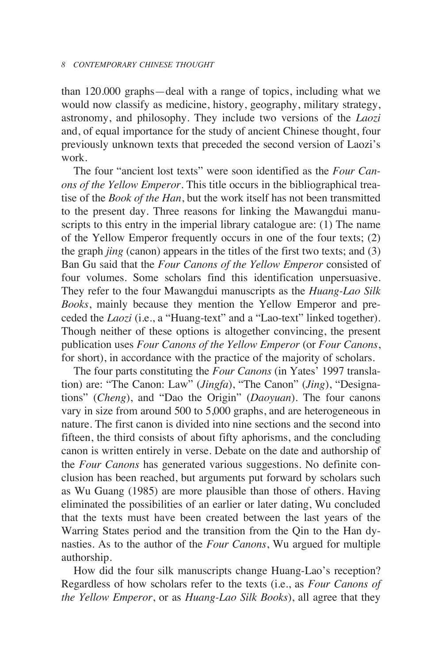than 120.000 graphs—deal with a range of topics, including what we would now classify as medicine, history, geography, military strategy, astronomy, and philosophy. They include two versions of the *Laozi* and, of equal importance for the study of ancient Chinese thought, four previously unknown texts that preceded the second version of Laozi's work.

The four "ancient lost texts" were soon identified as the *Four Canons of the Yellow Emperor*. This title occurs in the bibliographical treatise of the *Book of the Han*, but the work itself has not been transmitted to the present day. Three reasons for linking the Mawangdui manuscripts to this entry in the imperial library catalogue are: (1) The name of the Yellow Emperor frequently occurs in one of the four texts; (2) the graph *jing* (canon) appears in the titles of the first two texts; and (3) Ban Gu said that the *Four Canons of the Yellow Emperor* consisted of four volumes. Some scholars find this identification unpersuasive. They refer to the four Mawangdui manuscripts as the *Huang-Lao Silk Books*, mainly because they mention the Yellow Emperor and preceded the *Laozi* (i.e., a "Huang-text" and a "Lao-text" linked together). Though neither of these options is altogether convincing, the present publication uses *Four Canons of the Yellow Emperor* (or *Four Canons*, for short), in accordance with the practice of the majority of scholars.

The four parts constituting the *Four Canons* (in Yates' 1997 translation) are: "The Canon: Law" (*Jingfa*), "The Canon" (*Jing*), "Designations" (*Cheng*), and "Dao the Origin" (*Daoyuan*). The four canons vary in size from around 500 to 5,000 graphs, and are heterogeneous in nature. The first canon is divided into nine sections and the second into fifteen, the third consists of about fifty aphorisms, and the concluding canon is written entirely in verse. Debate on the date and authorship of the *Four Canons* has generated various suggestions. No definite conclusion has been reached, but arguments put forward by scholars such as Wu Guang (1985) are more plausible than those of others. Having eliminated the possibilities of an earlier or later dating, Wu concluded that the texts must have been created between the last years of the Warring States period and the transition from the Qin to the Han dynasties. As to the author of the *Four Canons*, Wu argued for multiple authorship.

How did the four silk manuscripts change Huang-Lao's reception? Regardless of how scholars refer to the texts (i.e., as *Four Canons of the Yellow Emperor*, or as *Huang-Lao Silk Books*), all agree that they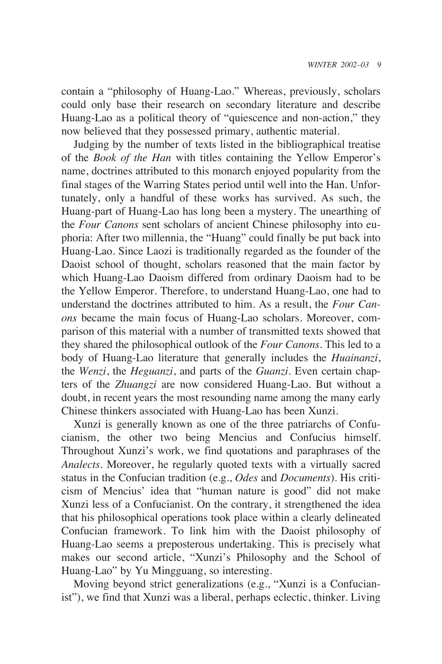contain a "philosophy of Huang-Lao." Whereas, previously, scholars could only base their research on secondary literature and describe Huang-Lao as a political theory of "quiescence and non-action," they now believed that they possessed primary, authentic material.

Judging by the number of texts listed in the bibliographical treatise of the *Book of the Han* with titles containing the Yellow Emperor's name, doctrines attributed to this monarch enjoyed popularity from the final stages of the Warring States period until well into the Han. Unfortunately, only a handful of these works has survived. As such, the Huang-part of Huang-Lao has long been a mystery. The unearthing of the *Four Canons* sent scholars of ancient Chinese philosophy into euphoria: After two millennia, the "Huang" could finally be put back into Huang-Lao. Since Laozi is traditionally regarded as the founder of the Daoist school of thought, scholars reasoned that the main factor by which Huang-Lao Daoism differed from ordinary Daoism had to be the Yellow Emperor. Therefore, to understand Huang-Lao, one had to understand the doctrines attributed to him. As a result, the *Four Canons* became the main focus of Huang-Lao scholars. Moreover, comparison of this material with a number of transmitted texts showed that they shared the philosophical outlook of the *Four Canons*. This led to a body of Huang-Lao literature that generally includes the *Huainanzi*, the *Wenzi*, the *Heguanzi*, and parts of the *Guanzi*. Even certain chapters of the *Zhuangzi* are now considered Huang-Lao. But without a doubt, in recent years the most resounding name among the many early Chinese thinkers associated with Huang-Lao has been Xunzi.

Xunzi is generally known as one of the three patriarchs of Confucianism, the other two being Mencius and Confucius himself. Throughout Xunzi's work, we find quotations and paraphrases of the *Analects*. Moreover, he regularly quoted texts with a virtually sacred status in the Confucian tradition (e.g., *Odes* and *Documents*). His criticism of Mencius' idea that "human nature is good" did not make Xunzi less of a Confucianist. On the contrary, it strengthened the idea that his philosophical operations took place within a clearly delineated Confucian framework. To link him with the Daoist philosophy of Huang-Lao seems a preposterous undertaking. This is precisely what makes our second article, "Xunzi's Philosophy and the School of Huang-Lao" by Yu Mingguang, so interesting.

Moving beyond strict generalizations (e.g., "Xunzi is a Confucianist"), we find that Xunzi was a liberal, perhaps eclectic, thinker. Living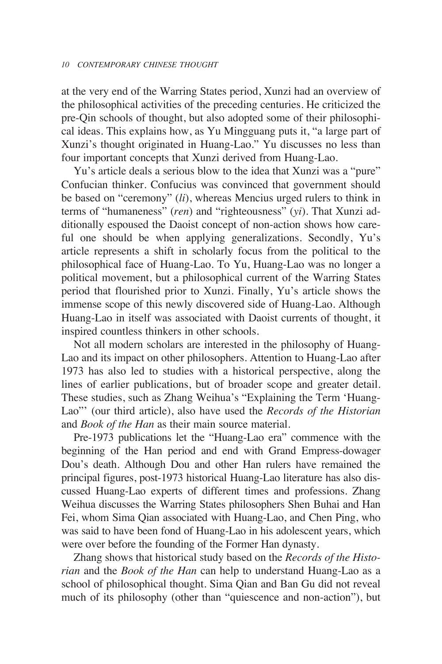at the very end of the Warring States period, Xunzi had an overview of the philosophical activities of the preceding centuries. He criticized the pre-Qin schools of thought, but also adopted some of their philosophical ideas. This explains how, as Yu Mingguang puts it, "a large part of Xunzi's thought originated in Huang-Lao." Yu discusses no less than four important concepts that Xunzi derived from Huang-Lao.

Yu's article deals a serious blow to the idea that Xunzi was a "pure" Confucian thinker. Confucius was convinced that government should be based on "ceremony" (*li*), whereas Mencius urged rulers to think in terms of "humaneness" (*ren*) and "righteousness" (*yi*). That Xunzi additionally espoused the Daoist concept of non-action shows how careful one should be when applying generalizations. Secondly, Yu's article represents a shift in scholarly focus from the political to the philosophical face of Huang-Lao. To Yu, Huang-Lao was no longer a political movement, but a philosophical current of the Warring States period that flourished prior to Xunzi. Finally, Yu's article shows the immense scope of this newly discovered side of Huang-Lao. Although Huang-Lao in itself was associated with Daoist currents of thought, it inspired countless thinkers in other schools.

Not all modern scholars are interested in the philosophy of Huang-Lao and its impact on other philosophers. Attention to Huang-Lao after 1973 has also led to studies with a historical perspective, along the lines of earlier publications, but of broader scope and greater detail. These studies, such as Zhang Weihua's "Explaining the Term 'Huang-Lao"' (our third article), also have used the *Records of the Historian* and *Book of the Han* as their main source material.

Pre-1973 publications let the "Huang-Lao era" commence with the beginning of the Han period and end with Grand Empress-dowager Dou's death. Although Dou and other Han rulers have remained the principal figures, post-1973 historical Huang-Lao literature has also discussed Huang-Lao experts of different times and professions. Zhang Weihua discusses the Warring States philosophers Shen Buhai and Han Fei, whom Sima Qian associated with Huang-Lao, and Chen Ping, who was said to have been fond of Huang-Lao in his adolescent years, which were over before the founding of the Former Han dynasty.

Zhang shows that historical study based on the *Records of the Historian* and the *Book of the Han* can help to understand Huang-Lao as a school of philosophical thought. Sima Qian and Ban Gu did not reveal much of its philosophy (other than "quiescence and non-action"), but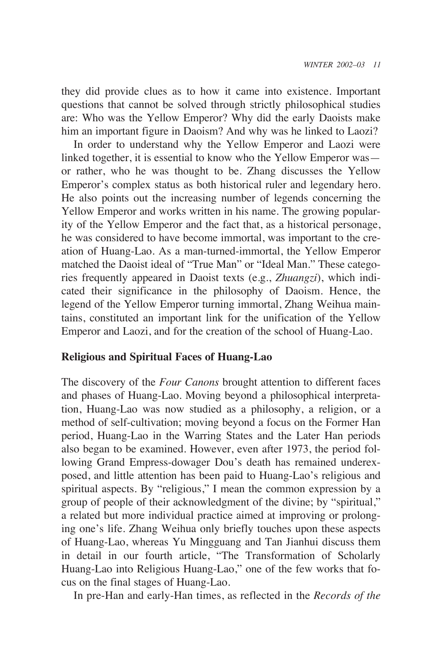they did provide clues as to how it came into existence. Important questions that cannot be solved through strictly philosophical studies are: Who was the Yellow Emperor? Why did the early Daoists make him an important figure in Daoism? And why was he linked to Laozi?

In order to understand why the Yellow Emperor and Laozi were linked together, it is essential to know who the Yellow Emperor was or rather, who he was thought to be. Zhang discusses the Yellow Emperor's complex status as both historical ruler and legendary hero. He also points out the increasing number of legends concerning the Yellow Emperor and works written in his name. The growing popularity of the Yellow Emperor and the fact that, as a historical personage, he was considered to have become immortal, was important to the creation of Huang-Lao. As a man-turned-immortal, the Yellow Emperor matched the Daoist ideal of "True Man" or "Ideal Man." These categories frequently appeared in Daoist texts (e.g., *Zhuangzi*), which indicated their significance in the philosophy of Daoism. Hence, the legend of the Yellow Emperor turning immortal, Zhang Weihua maintains, constituted an important link for the unification of the Yellow Emperor and Laozi, and for the creation of the school of Huang-Lao.

#### **Religious and Spiritual Faces of Huang-Lao**

The discovery of the *Four Canons* brought attention to different faces and phases of Huang-Lao. Moving beyond a philosophical interpretation, Huang-Lao was now studied as a philosophy, a religion, or a method of self-cultivation; moving beyond a focus on the Former Han period, Huang-Lao in the Warring States and the Later Han periods also began to be examined. However, even after 1973, the period following Grand Empress-dowager Dou's death has remained underexposed, and little attention has been paid to Huang-Lao's religious and spiritual aspects. By "religious," I mean the common expression by a group of people of their acknowledgment of the divine; by "spiritual," a related but more individual practice aimed at improving or prolonging one's life. Zhang Weihua only briefly touches upon these aspects of Huang-Lao, whereas Yu Mingguang and Tan Jianhui discuss them in detail in our fourth article, "The Transformation of Scholarly Huang-Lao into Religious Huang-Lao," one of the few works that focus on the final stages of Huang-Lao.

In pre-Han and early-Han times, as reflected in the *Records of the*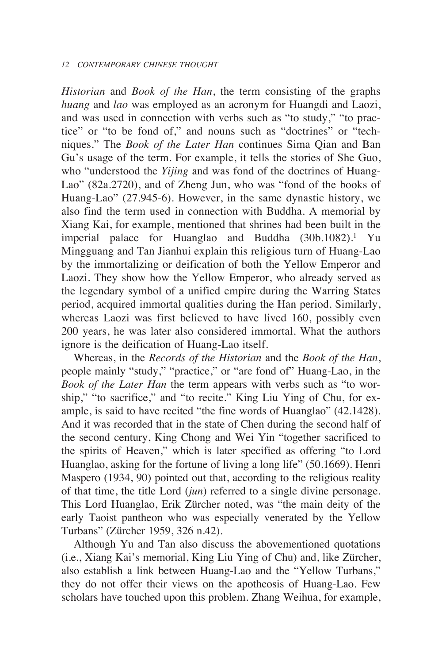*Historian* and *Book of the Han*, the term consisting of the graphs *huang* and *lao* was employed as an acronym for Huangdi and Laozi, and was used in connection with verbs such as "to study," "to practice" or "to be fond of," and nouns such as "doctrines" or "techniques." The *Book of the Later Han* continues Sima Qian and Ban Gu's usage of the term. For example, it tells the stories of She Guo, who "understood the *Yijing* and was fond of the doctrines of Huang-Lao" (82a.2720), and of Zheng Jun, who was "fond of the books of Huang-Lao" (27.945-6). However, in the same dynastic history, we also find the term used in connection with Buddha. A memorial by Xiang Kai, for example, mentioned that shrines had been built in the imperial palace for Huanglao and Buddha (30b.1082).<sup>1</sup> Yu Mingguang and Tan Jianhui explain this religious turn of Huang-Lao by the immortalizing or deification of both the Yellow Emperor and Laozi. They show how the Yellow Emperor, who already served as the legendary symbol of a unified empire during the Warring States period, acquired immortal qualities during the Han period. Similarly, whereas Laozi was first believed to have lived 160, possibly even 200 years, he was later also considered immortal. What the authors ignore is the deification of Huang-Lao itself.

Whereas, in the *Records of the Historian* and the *Book of the Han*, people mainly "study," "practice," or "are fond of" Huang-Lao, in the *Book of the Later Han* the term appears with verbs such as "to worship," "to sacrifice," and "to recite." King Liu Ying of Chu, for example, is said to have recited "the fine words of Huanglao" (42.1428). And it was recorded that in the state of Chen during the second half of the second century, King Chong and Wei Yin "together sacrificed to the spirits of Heaven," which is later specified as offering "to Lord Huanglao, asking for the fortune of living a long life" (50.1669). Henri Maspero (1934, 90) pointed out that, according to the religious reality of that time, the title Lord (*jun*) referred to a single divine personage. This Lord Huanglao, Erik Zürcher noted, was "the main deity of the early Taoist pantheon who was especially venerated by the Yellow Turbans" (Zürcher 1959, 326 n.42).

Although Yu and Tan also discuss the abovementioned quotations (i.e., Xiang Kai's memorial, King Liu Ying of Chu) and, like Zürcher, also establish a link between Huang-Lao and the "Yellow Turbans," they do not offer their views on the apotheosis of Huang-Lao. Few scholars have touched upon this problem. Zhang Weihua, for example,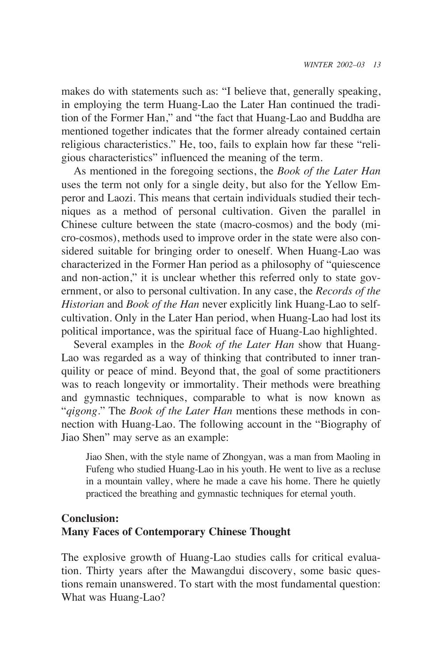makes do with statements such as: "I believe that, generally speaking, in employing the term Huang-Lao the Later Han continued the tradition of the Former Han," and "the fact that Huang-Lao and Buddha are mentioned together indicates that the former already contained certain religious characteristics." He, too, fails to explain how far these "religious characteristics" influenced the meaning of the term.

As mentioned in the foregoing sections, the *Book of the Later Han* uses the term not only for a single deity, but also for the Yellow Emperor and Laozi. This means that certain individuals studied their techniques as a method of personal cultivation. Given the parallel in Chinese culture between the state (macro-cosmos) and the body (micro-cosmos), methods used to improve order in the state were also considered suitable for bringing order to oneself. When Huang-Lao was characterized in the Former Han period as a philosophy of "quiescence and non-action," it is unclear whether this referred only to state government, or also to personal cultivation. In any case, the *Records of the Historian* and *Book of the Han* never explicitly link Huang-Lao to selfcultivation. Only in the Later Han period, when Huang-Lao had lost its political importance, was the spiritual face of Huang-Lao highlighted.

Several examples in the *Book of the Later Han* show that Huang-Lao was regarded as a way of thinking that contributed to inner tranquility or peace of mind. Beyond that, the goal of some practitioners was to reach longevity or immortality. Their methods were breathing and gymnastic techniques, comparable to what is now known as "*qigong*." The *Book of the Later Han* mentions these methods in connection with Huang-Lao. The following account in the "Biography of Jiao Shen" may serve as an example:

Jiao Shen, with the style name of Zhongyan, was a man from Maoling in Fufeng who studied Huang-Lao in his youth. He went to live as a recluse in a mountain valley, where he made a cave his home. There he quietly practiced the breathing and gymnastic techniques for eternal youth.

#### **Conclusion: Many Faces of Contemporary Chinese Thought**

The explosive growth of Huang-Lao studies calls for critical evaluation. Thirty years after the Mawangdui discovery, some basic questions remain unanswered. To start with the most fundamental question: What was Huang-Lao?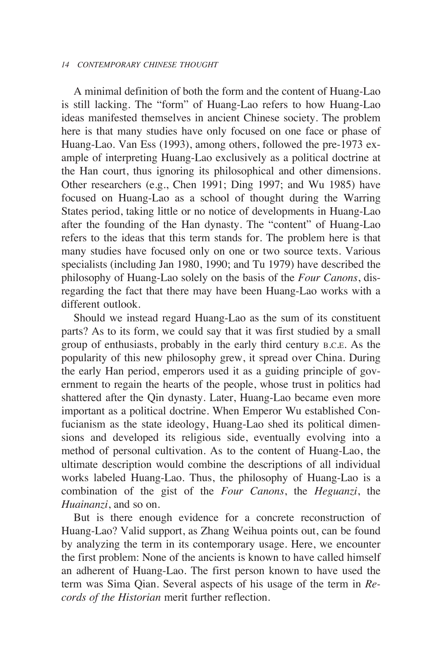A minimal definition of both the form and the content of Huang-Lao is still lacking. The "form" of Huang-Lao refers to how Huang-Lao ideas manifested themselves in ancient Chinese society. The problem here is that many studies have only focused on one face or phase of Huang-Lao. Van Ess (1993), among others, followed the pre-1973 example of interpreting Huang-Lao exclusively as a political doctrine at the Han court, thus ignoring its philosophical and other dimensions. Other researchers (e.g., Chen 1991; Ding 1997; and Wu 1985) have focused on Huang-Lao as a school of thought during the Warring States period, taking little or no notice of developments in Huang-Lao after the founding of the Han dynasty. The "content" of Huang-Lao refers to the ideas that this term stands for. The problem here is that many studies have focused only on one or two source texts. Various specialists (including Jan 1980, 1990; and Tu 1979) have described the philosophy of Huang-Lao solely on the basis of the *Four Canons*, disregarding the fact that there may have been Huang-Lao works with a different outlook.

Should we instead regard Huang-Lao as the sum of its constituent parts? As to its form, we could say that it was first studied by a small group of enthusiasts, probably in the early third century B.C.E. As the popularity of this new philosophy grew, it spread over China. During the early Han period, emperors used it as a guiding principle of government to regain the hearts of the people, whose trust in politics had shattered after the Qin dynasty. Later, Huang-Lao became even more important as a political doctrine. When Emperor Wu established Confucianism as the state ideology, Huang-Lao shed its political dimensions and developed its religious side, eventually evolving into a method of personal cultivation. As to the content of Huang-Lao, the ultimate description would combine the descriptions of all individual works labeled Huang-Lao. Thus, the philosophy of Huang-Lao is a combination of the gist of the *Four Canons*, the *Heguanzi*, the *Huainanzi*, and so on.

But is there enough evidence for a concrete reconstruction of Huang-Lao? Valid support, as Zhang Weihua points out, can be found by analyzing the term in its contemporary usage. Here, we encounter the first problem: None of the ancients is known to have called himself an adherent of Huang-Lao. The first person known to have used the term was Sima Qian. Several aspects of his usage of the term in *Records of the Historian* merit further reflection.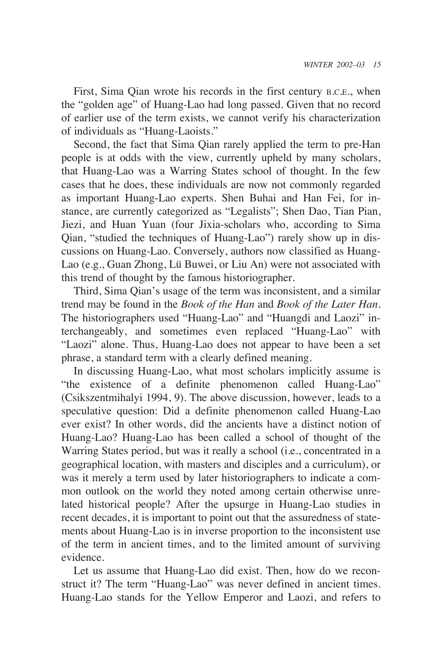First, Sima Qian wrote his records in the first century B.C.E., when the "golden age" of Huang-Lao had long passed. Given that no record of earlier use of the term exists, we cannot verify his characterization of individuals as "Huang-Laoists."

Second, the fact that Sima Qian rarely applied the term to pre-Han people is at odds with the view, currently upheld by many scholars, that Huang-Lao was a Warring States school of thought. In the few cases that he does, these individuals are now not commonly regarded as important Huang-Lao experts. Shen Buhai and Han Fei, for instance, are currently categorized as "Legalists"; Shen Dao, Tian Pian, Jiezi, and Huan Yuan (four Jixia-scholars who, according to Sima Qian, "studied the techniques of Huang-Lao") rarely show up in discussions on Huang-Lao. Conversely, authors now classified as Huang-Lao (e.g., Guan Zhong, Lü Buwei, or Liu An) were not associated with this trend of thought by the famous historiographer.

Third, Sima Qian's usage of the term was inconsistent, and a similar trend may be found in the *Book of the Han* and *Book of the Later Han*. The historiographers used "Huang-Lao" and "Huangdi and Laozi" interchangeably, and sometimes even replaced "Huang-Lao" with "Laozi" alone. Thus, Huang-Lao does not appear to have been a set phrase, a standard term with a clearly defined meaning.

In discussing Huang-Lao, what most scholars implicitly assume is "the existence of a definite phenomenon called Huang-Lao" (Csikszentmihalyi 1994, 9). The above discussion, however, leads to a speculative question: Did a definite phenomenon called Huang-Lao ever exist? In other words, did the ancients have a distinct notion of Huang-Lao? Huang-Lao has been called a school of thought of the Warring States period, but was it really a school (i.e., concentrated in a geographical location, with masters and disciples and a curriculum), or was it merely a term used by later historiographers to indicate a common outlook on the world they noted among certain otherwise unrelated historical people? After the upsurge in Huang-Lao studies in recent decades, it is important to point out that the assuredness of statements about Huang-Lao is in inverse proportion to the inconsistent use of the term in ancient times, and to the limited amount of surviving evidence.

Let us assume that Huang-Lao did exist. Then, how do we reconstruct it? The term "Huang-Lao" was never defined in ancient times. Huang-Lao stands for the Yellow Emperor and Laozi, and refers to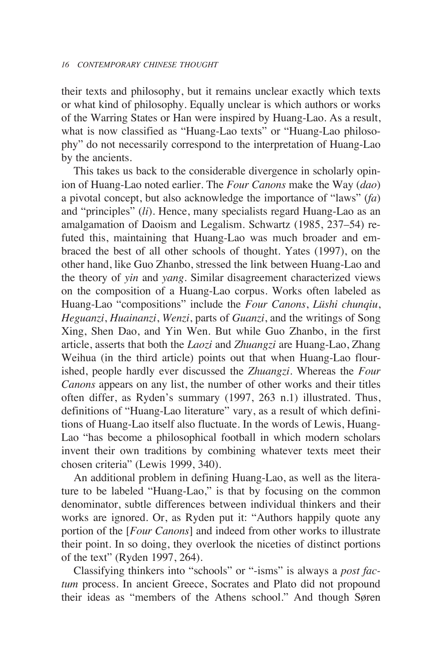their texts and philosophy, but it remains unclear exactly which texts or what kind of philosophy. Equally unclear is which authors or works of the Warring States or Han were inspired by Huang-Lao. As a result, what is now classified as "Huang-Lao texts" or "Huang-Lao philosophy" do not necessarily correspond to the interpretation of Huang-Lao by the ancients.

This takes us back to the considerable divergence in scholarly opinion of Huang-Lao noted earlier. The *Four Canons* make the Way (*dao*) a pivotal concept, but also acknowledge the importance of "laws" (*fa*) and "principles" (*li*). Hence, many specialists regard Huang-Lao as an amalgamation of Daoism and Legalism. Schwartz (1985, 237–54) refuted this, maintaining that Huang-Lao was much broader and embraced the best of all other schools of thought. Yates (1997), on the other hand, like Guo Zhanbo, stressed the link between Huang-Lao and the theory of *yin* and *yang*. Similar disagreement characterized views on the composition of a Huang-Lao corpus. Works often labeled as Huang-Lao "compositions" include the *Four Canons*, *Lüshi chunqiu*, *Heguanzi*, *Huainanzi*, *Wenzi*, parts of *Guanzi*, and the writings of Song Xing, Shen Dao, and Yin Wen. But while Guo Zhanbo, in the first article, asserts that both the *Laozi* and *Zhuangzi* are Huang-Lao, Zhang Weihua (in the third article) points out that when Huang-Lao flourished, people hardly ever discussed the *Zhuangzi*. Whereas the *Four Canons* appears on any list, the number of other works and their titles often differ, as Ryden's summary (1997, 263 n.1) illustrated. Thus, definitions of "Huang-Lao literature" vary, as a result of which definitions of Huang-Lao itself also fluctuate. In the words of Lewis, Huang-Lao "has become a philosophical football in which modern scholars invent their own traditions by combining whatever texts meet their chosen criteria" (Lewis 1999, 340).

An additional problem in defining Huang-Lao, as well as the literature to be labeled "Huang-Lao," is that by focusing on the common denominator, subtle differences between individual thinkers and their works are ignored. Or, as Ryden put it: "Authors happily quote any portion of the [*Four Canons*] and indeed from other works to illustrate their point. In so doing, they overlook the niceties of distinct portions of the text" (Ryden 1997, 264).

Classifying thinkers into "schools" or "-isms" is always a *post factum* process. In ancient Greece, Socrates and Plato did not propound their ideas as "members of the Athens school." And though Søren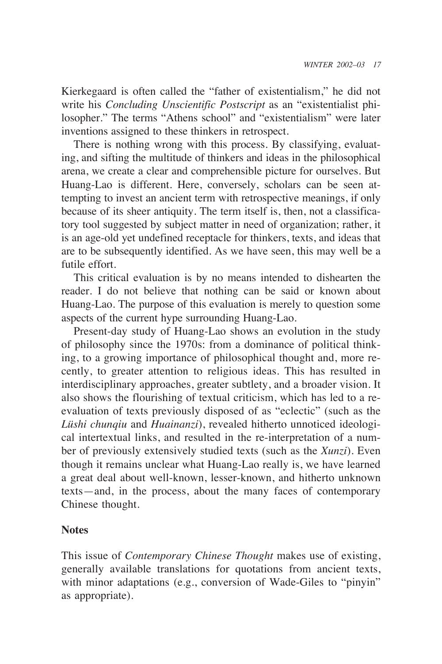Kierkegaard is often called the "father of existentialism," he did not write his *Concluding Unscientific Postscript* as an "existentialist philosopher." The terms "Athens school" and "existentialism" were later inventions assigned to these thinkers in retrospect.

There is nothing wrong with this process. By classifying, evaluating, and sifting the multitude of thinkers and ideas in the philosophical arena, we create a clear and comprehensible picture for ourselves. But Huang-Lao is different. Here, conversely, scholars can be seen attempting to invest an ancient term with retrospective meanings, if only because of its sheer antiquity. The term itself is, then, not a classificatory tool suggested by subject matter in need of organization; rather, it is an age-old yet undefined receptacle for thinkers, texts, and ideas that are to be subsequently identified. As we have seen, this may well be a futile effort.

This critical evaluation is by no means intended to dishearten the reader. I do not believe that nothing can be said or known about Huang-Lao. The purpose of this evaluation is merely to question some aspects of the current hype surrounding Huang-Lao.

Present-day study of Huang-Lao shows an evolution in the study of philosophy since the 1970s: from a dominance of political thinking, to a growing importance of philosophical thought and, more recently, to greater attention to religious ideas. This has resulted in interdisciplinary approaches, greater subtlety, and a broader vision. It also shows the flourishing of textual criticism, which has led to a reevaluation of texts previously disposed of as "eclectic" (such as the *Lüshi chunqiu* and *Huainanzi*), revealed hitherto unnoticed ideological intertextual links, and resulted in the re-interpretation of a number of previously extensively studied texts (such as the *Xunzi*). Even though it remains unclear what Huang-Lao really is, we have learned a great deal about well-known, lesser-known, and hitherto unknown texts—and, in the process, about the many faces of contemporary Chinese thought.

#### **Notes**

This issue of *Contemporary Chinese Thought* makes use of existing, generally available translations for quotations from ancient texts, with minor adaptations (e.g., conversion of Wade-Giles to "pinyin" as appropriate).